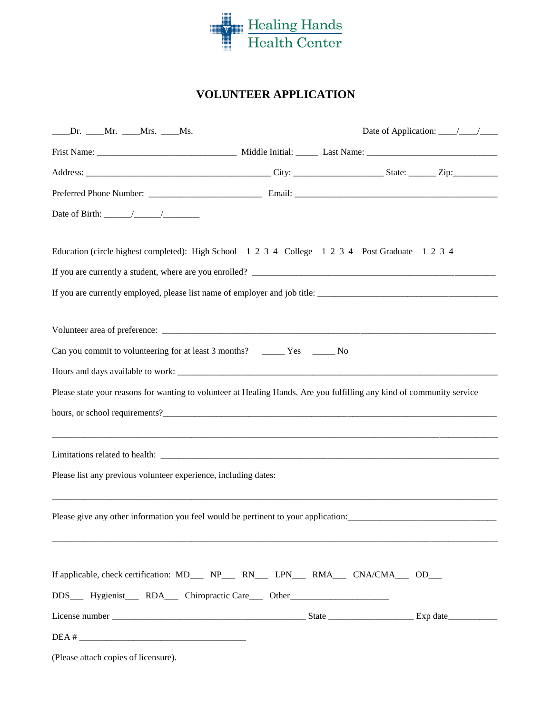

## **VOLUNTEER APPLICATION**

| _____Dr. _____Mr. ____Mrs. ____Ms.                                                                    | Date of Application: $\frac{\sqrt{2}}{2}$                                                                             |
|-------------------------------------------------------------------------------------------------------|-----------------------------------------------------------------------------------------------------------------------|
|                                                                                                       |                                                                                                                       |
|                                                                                                       |                                                                                                                       |
|                                                                                                       |                                                                                                                       |
|                                                                                                       |                                                                                                                       |
| Education (circle highest completed): High School – 1 2 3 4 College – 1 2 3 4 Post Graduate – 1 2 3 4 |                                                                                                                       |
|                                                                                                       |                                                                                                                       |
|                                                                                                       |                                                                                                                       |
|                                                                                                       |                                                                                                                       |
|                                                                                                       |                                                                                                                       |
|                                                                                                       |                                                                                                                       |
|                                                                                                       | Please state your reasons for wanting to volunteer at Healing Hands. Are you fulfilling any kind of community service |
|                                                                                                       |                                                                                                                       |
|                                                                                                       |                                                                                                                       |
|                                                                                                       |                                                                                                                       |
| Please list any previous volunteer experience, including dates:                                       |                                                                                                                       |
|                                                                                                       | Please give any other information you feel would be pertinent to your application:                                    |
| If applicable, check certification: MD___ NP___ RN___ LPN___ RMA___ CNA/CMA___ OD___                  |                                                                                                                       |
|                                                                                                       |                                                                                                                       |
| DDS______Hygienist______RDA______Chiropractic Care_______Other___________________                     |                                                                                                                       |
|                                                                                                       |                                                                                                                       |
| $DEA # _______$                                                                                       |                                                                                                                       |

(Please attach copies of licensure).